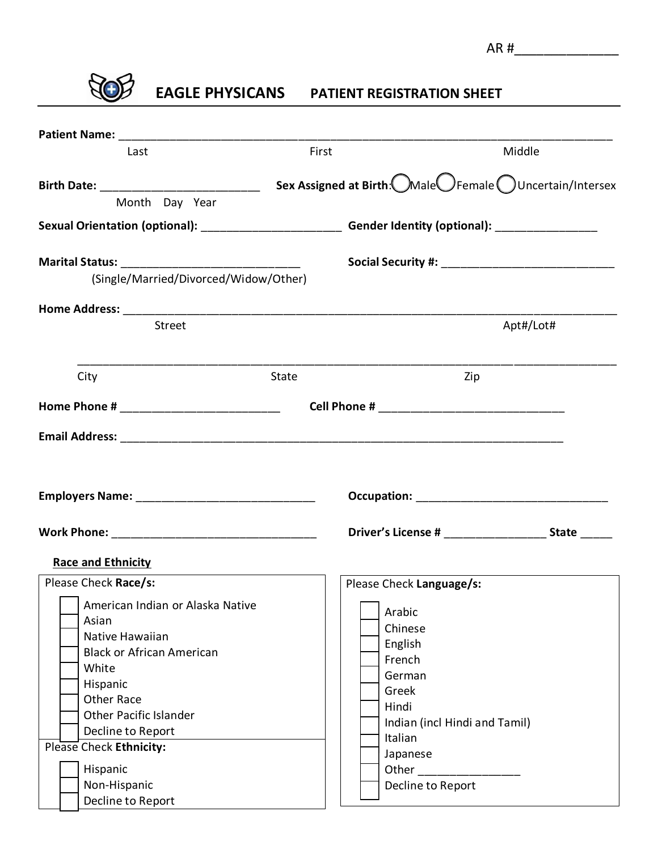

**EAGLE PHYSICANS PATIENT REGISTRATION SHEET**

| First                                                                                     | Middle                                                                    |  |
|-------------------------------------------------------------------------------------------|---------------------------------------------------------------------------|--|
|                                                                                           | Sex Assigned at Birth: Male Female OUncertain/Intersex                    |  |
|                                                                                           |                                                                           |  |
| Marital Status: ______________________________                                            |                                                                           |  |
|                                                                                           |                                                                           |  |
|                                                                                           |                                                                           |  |
|                                                                                           | Apt#/Lot#                                                                 |  |
| State                                                                                     | Zip                                                                       |  |
|                                                                                           |                                                                           |  |
|                                                                                           |                                                                           |  |
|                                                                                           | Driver's License # _______________________ State ______                   |  |
|                                                                                           |                                                                           |  |
| Please Check Language/s:                                                                  |                                                                           |  |
| Arabic<br>Chinese<br>English<br>French<br>German<br>Greek<br>Hindi<br>Italian<br>Japanese | Indian (incl Hindi and Tamil)                                             |  |
|                                                                                           | (Single/Married/Divorced/Widow/Other)<br>American Indian or Alaska Native |  |